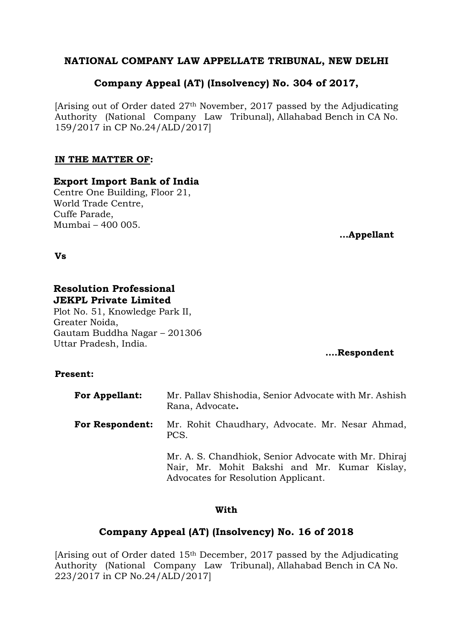# **NATIONAL COMPANY LAW APPELLATE TRIBUNAL, NEW DELHI**

# **Company Appeal (AT) (Insolvency) No. 304 of 2017,**

[Arising out of Order dated 27th November, 2017 passed by the Adjudicating Authority (National Company Law Tribunal), Allahabad Bench in CA No. 159/2017 in CP No.24/ALD/2017]

# **IN THE MATTER OF:**

# **Export Import Bank of India**

Centre One Building, Floor 21, World Trade Centre, Cuffe Parade, Mumbai – 400 005.

**…Appellant**

**Vs**

# **Resolution Professional JEKPL Private Limited**

Plot No. 51, Knowledge Park II, Greater Noida, Gautam Buddha Nagar – 201306 Uttar Pradesh, India.

# **….Respondent**

# **Present:**

| <b>For Appellant:</b>  | Mr. Pallav Shishodia, Senior Advocate with Mr. Ashish<br>Rana, Advocate.                                                                    |
|------------------------|---------------------------------------------------------------------------------------------------------------------------------------------|
| <b>For Respondent:</b> | Mr. Rohit Chaudhary, Advocate. Mr. Nesar Ahmad,<br>PCS.                                                                                     |
|                        | Mr. A. S. Chandhiok, Senior Advocate with Mr. Dhiraj<br>Nair, Mr. Mohit Bakshi and Mr. Kumar Kislay,<br>Advocates for Resolution Applicant. |

# **With**

# **Company Appeal (AT) (Insolvency) No. 16 of 2018**

[Arising out of Order dated  $15<sup>th</sup>$  December, 2017 passed by the Adjudicating Authority (National Company Law Tribunal), Allahabad Bench in CA No. 223/2017 in CP No.24/ALD/2017]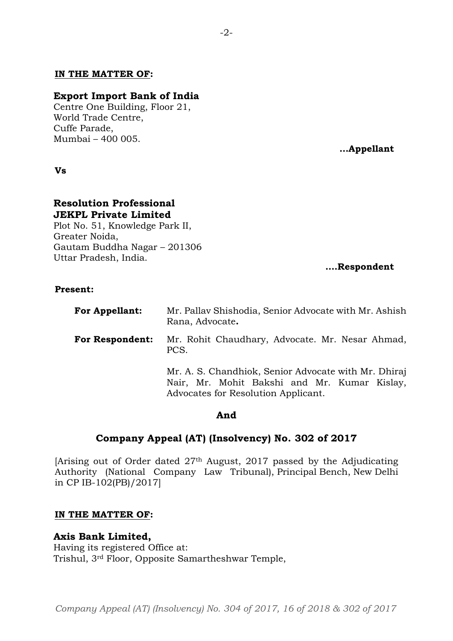## **IN THE MATTER OF:**

### **Export Import Bank of India**

Centre One Building, Floor 21, World Trade Centre, Cuffe Parade, Mumbai – 400 005.

**Vs**

#### **Resolution Professional JEKPL Private Limited**

Plot No. 51, Knowledge Park II, Greater Noida, Gautam Buddha Nagar – 201306 Uttar Pradesh, India.

# **….Respondent**

## **Present:**

| <b>For Appellant:</b>  | Mr. Pallav Shishodia, Senior Advocate with Mr. Ashish<br>Rana, Advocate.                                                                    |
|------------------------|---------------------------------------------------------------------------------------------------------------------------------------------|
| <b>For Respondent:</b> | Mr. Rohit Chaudhary, Advocate. Mr. Nesar Ahmad,<br>PCS.                                                                                     |
|                        | Mr. A. S. Chandhiok, Senior Advocate with Mr. Dhiraj<br>Nair, Mr. Mohit Bakshi and Mr. Kumar Kislay,<br>Advocates for Resolution Applicant. |

#### **And**

## **Company Appeal (AT) (Insolvency) No. 302 of 2017**

[Arising out of Order dated 27th August, 2017 passed by the Adjudicating Authority (National Company Law Tribunal), Principal Bench, New Delhi in CP IB-102(PB)/2017]

#### **IN THE MATTER OF:**

## **Axis Bank Limited,**

Having its registered Office at: Trishul, 3rd Floor, Opposite Samartheshwar Temple, **…Appellant**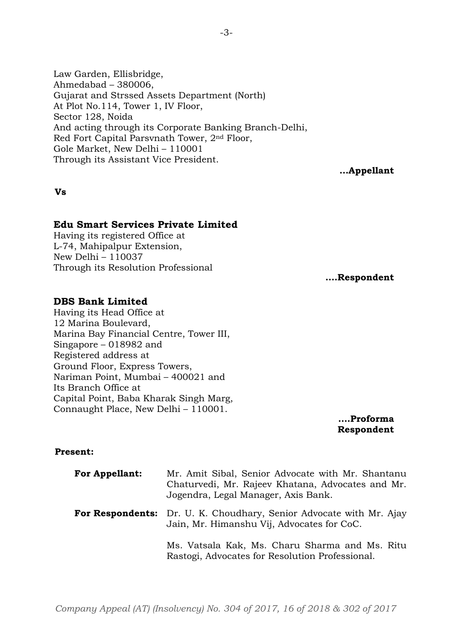Law Garden, Ellisbridge, Ahmedabad – 380006, Gujarat and Strssed Assets Department (North) At Plot No.114, Tower 1, IV Floor, Sector 128, Noida And acting through its Corporate Banking Branch-Delhi, Red Fort Capital Parsvnath Tower, 2nd Floor, Gole Market, New Delhi – 110001 Through its Assistant Vice President.

**…Appellant**

## **Vs**

# **Edu Smart Services Private Limited**

Having its registered Office at L-74, Mahipalpur Extension, New Delhi – 110037 Through its Resolution Professional

**….Respondent**

## **DBS Bank Limited**

Having its Head Office at 12 Marina Boulevard, Marina Bay Financial Centre, Tower III, Singapore – 018982 and Registered address at Ground Floor, Express Towers, Nariman Point, Mumbai – 400021 and Its Branch Office at Capital Point, Baba Kharak Singh Marg, Connaught Place, New Delhi – 110001.

**….Proforma Respondent**

## **Present:**

| <b>For Appellant:</b> | Mr. Amit Sibal, Senior Advocate with Mr. Shantanu<br>Chaturvedi, Mr. Rajeev Khatana, Advocates and Mr.<br>Jogendra, Legal Manager, Axis Bank. |
|-----------------------|-----------------------------------------------------------------------------------------------------------------------------------------------|
|                       | <b>For Respondents:</b> Dr. U. K. Choudhary, Senior Advocate with Mr. Ajay<br>Jain, Mr. Himanshu Vij, Advocates for CoC.                      |
|                       | Ms. Vatsala Kak, Ms. Charu Sharma and Ms. Ritu<br>Rastogi, Advocates for Resolution Professional.                                             |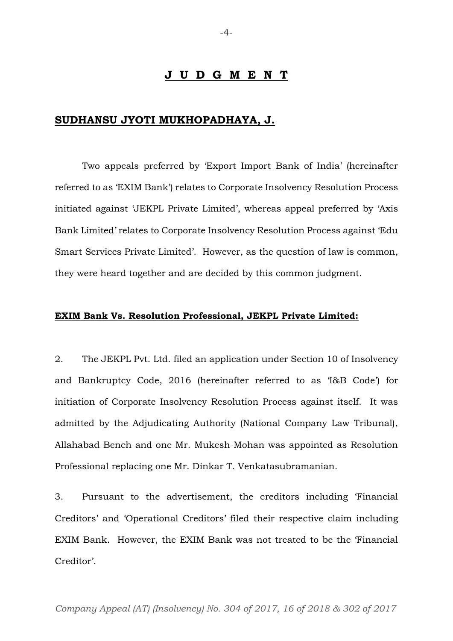### **J U D G M E N T**

## **SUDHANSU JYOTI MUKHOPADHAYA, J.**

Two appeals preferred by 'Export Import Bank of India' (hereinafter referred to as 'EXIM Bank') relates to Corporate Insolvency Resolution Process initiated against 'JEKPL Private Limited', whereas appeal preferred by 'Axis Bank Limited' relates to Corporate Insolvency Resolution Process against 'Edu Smart Services Private Limited'. However, as the question of law is common, they were heard together and are decided by this common judgment.

## **EXIM Bank Vs. Resolution Professional, JEKPL Private Limited:**

2. The JEKPL Pvt. Ltd. filed an application under Section 10 of Insolvency and Bankruptcy Code, 2016 (hereinafter referred to as 'I&B Code') for initiation of Corporate Insolvency Resolution Process against itself. It was admitted by the Adjudicating Authority (National Company Law Tribunal), Allahabad Bench and one Mr. Mukesh Mohan was appointed as Resolution Professional replacing one Mr. Dinkar T. Venkatasubramanian.

3. Pursuant to the advertisement, the creditors including 'Financial Creditors' and 'Operational Creditors' filed their respective claim including EXIM Bank. However, the EXIM Bank was not treated to be the 'Financial Creditor'.

*Company Appeal (AT) (Insolvency) No. 304 of 2017, 16 of 2018 & 302 of 2017*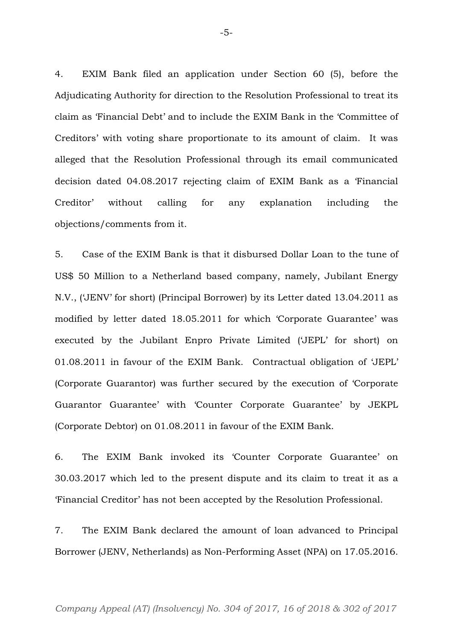4. EXIM Bank filed an application under Section 60 (5), before the Adjudicating Authority for direction to the Resolution Professional to treat its claim as 'Financial Debt' and to include the EXIM Bank in the 'Committee of Creditors' with voting share proportionate to its amount of claim. It was alleged that the Resolution Professional through its email communicated decision dated 04.08.2017 rejecting claim of EXIM Bank as a 'Financial Creditor' without calling for any explanation including the objections/comments from it.

5. Case of the EXIM Bank is that it disbursed Dollar Loan to the tune of US\$ 50 Million to a Netherland based company, namely, Jubilant Energy N.V., ('JENV' for short) (Principal Borrower) by its Letter dated 13.04.2011 as modified by letter dated 18.05.2011 for which 'Corporate Guarantee' was executed by the Jubilant Enpro Private Limited ('JEPL' for short) on 01.08.2011 in favour of the EXIM Bank. Contractual obligation of 'JEPL' (Corporate Guarantor) was further secured by the execution of 'Corporate Guarantor Guarantee' with 'Counter Corporate Guarantee' by JEKPL (Corporate Debtor) on 01.08.2011 in favour of the EXIM Bank.

6. The EXIM Bank invoked its 'Counter Corporate Guarantee' on 30.03.2017 which led to the present dispute and its claim to treat it as a 'Financial Creditor' has not been accepted by the Resolution Professional.

7. The EXIM Bank declared the amount of loan advanced to Principal Borrower (JENV, Netherlands) as Non-Performing Asset (NPA) on 17.05.2016.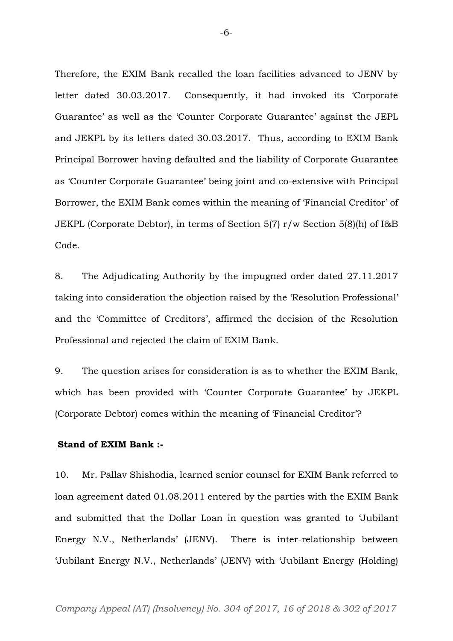Therefore, the EXIM Bank recalled the loan facilities advanced to JENV by letter dated 30.03.2017. Consequently, it had invoked its 'Corporate Guarantee' as well as the 'Counter Corporate Guarantee' against the JEPL and JEKPL by its letters dated 30.03.2017. Thus, according to EXIM Bank Principal Borrower having defaulted and the liability of Corporate Guarantee as 'Counter Corporate Guarantee' being joint and co-extensive with Principal Borrower, the EXIM Bank comes within the meaning of 'Financial Creditor' of JEKPL (Corporate Debtor), in terms of Section 5(7) r/w Section 5(8)(h) of I&B Code.

8. The Adjudicating Authority by the impugned order dated 27.11.2017 taking into consideration the objection raised by the 'Resolution Professional' and the 'Committee of Creditors', affirmed the decision of the Resolution Professional and rejected the claim of EXIM Bank.

9. The question arises for consideration is as to whether the EXIM Bank, which has been provided with 'Counter Corporate Guarantee' by JEKPL (Corporate Debtor) comes within the meaning of 'Financial Creditor'?

## **Stand of EXIM Bank :-**

10. Mr. Pallav Shishodia, learned senior counsel for EXIM Bank referred to loan agreement dated 01.08.2011 entered by the parties with the EXIM Bank and submitted that the Dollar Loan in question was granted to 'Jubilant Energy N.V., Netherlands' (JENV). There is inter-relationship between 'Jubilant Energy N.V., Netherlands' (JENV) with 'Jubilant Energy (Holding)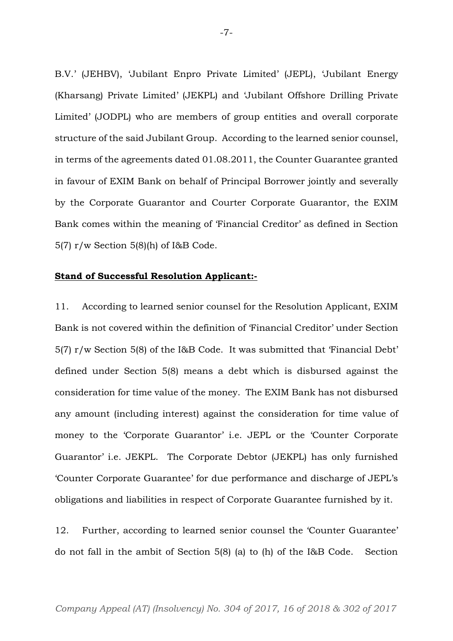B.V.' (JEHBV), 'Jubilant Enpro Private Limited' (JEPL), 'Jubilant Energy (Kharsang) Private Limited' (JEKPL) and 'Jubilant Offshore Drilling Private Limited' (JODPL) who are members of group entities and overall corporate structure of the said Jubilant Group. According to the learned senior counsel, in terms of the agreements dated 01.08.2011, the Counter Guarantee granted in favour of EXIM Bank on behalf of Principal Borrower jointly and severally by the Corporate Guarantor and Courter Corporate Guarantor, the EXIM Bank comes within the meaning of 'Financial Creditor' as defined in Section 5(7) r/w Section 5(8)(h) of I&B Code.

#### **Stand of Successful Resolution Applicant:-**

11. According to learned senior counsel for the Resolution Applicant, EXIM Bank is not covered within the definition of 'Financial Creditor' under Section 5(7) r/w Section 5(8) of the I&B Code. It was submitted that 'Financial Debt' defined under Section 5(8) means a debt which is disbursed against the consideration for time value of the money. The EXIM Bank has not disbursed any amount (including interest) against the consideration for time value of money to the 'Corporate Guarantor' i.e. JEPL or the 'Counter Corporate Guarantor' i.e. JEKPL. The Corporate Debtor (JEKPL) has only furnished 'Counter Corporate Guarantee' for due performance and discharge of JEPL's obligations and liabilities in respect of Corporate Guarantee furnished by it.

12. Further, according to learned senior counsel the 'Counter Guarantee' do not fall in the ambit of Section 5(8) (a) to (h) of the I&B Code. Section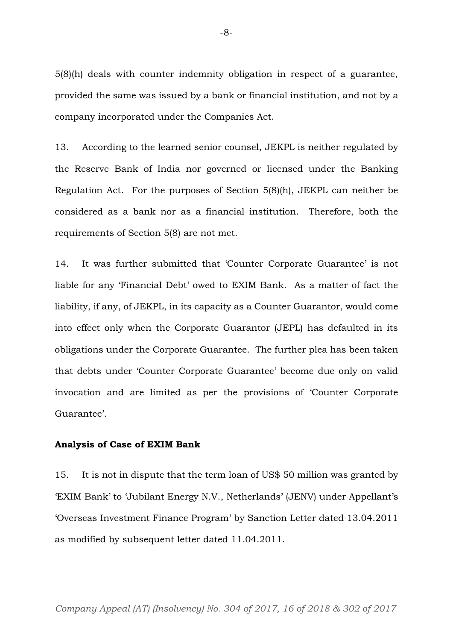5(8)(h) deals with counter indemnity obligation in respect of a guarantee, provided the same was issued by a bank or financial institution, and not by a company incorporated under the Companies Act.

13. According to the learned senior counsel, JEKPL is neither regulated by the Reserve Bank of India nor governed or licensed under the Banking Regulation Act. For the purposes of Section 5(8)(h), JEKPL can neither be considered as a bank nor as a financial institution. Therefore, both the requirements of Section 5(8) are not met.

14. It was further submitted that 'Counter Corporate Guarantee' is not liable for any 'Financial Debt' owed to EXIM Bank. As a matter of fact the liability, if any, of JEKPL, in its capacity as a Counter Guarantor, would come into effect only when the Corporate Guarantor (JEPL) has defaulted in its obligations under the Corporate Guarantee. The further plea has been taken that debts under 'Counter Corporate Guarantee' become due only on valid invocation and are limited as per the provisions of 'Counter Corporate Guarantee'.

#### **Analysis of Case of EXIM Bank**

15. It is not in dispute that the term loan of US\$ 50 million was granted by 'EXIM Bank' to 'Jubilant Energy N.V., Netherlands' (JENV) under Appellant's 'Overseas Investment Finance Program' by Sanction Letter dated 13.04.2011 as modified by subsequent letter dated 11.04.2011.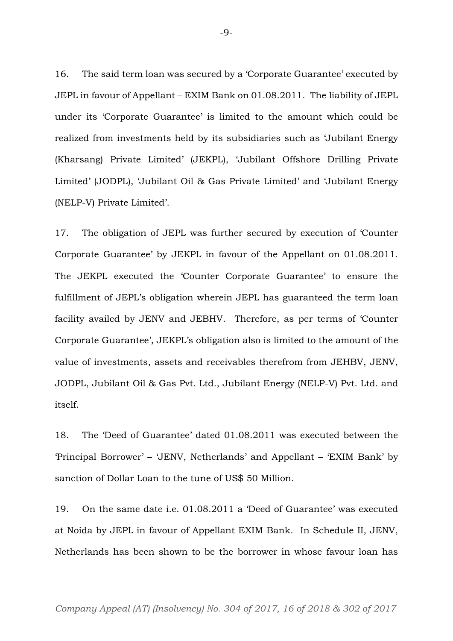16. The said term loan was secured by a 'Corporate Guarantee' executed by JEPL in favour of Appellant – EXIM Bank on 01.08.2011. The liability of JEPL under its 'Corporate Guarantee' is limited to the amount which could be realized from investments held by its subsidiaries such as 'Jubilant Energy (Kharsang) Private Limited' (JEKPL), 'Jubilant Offshore Drilling Private Limited' (JODPL), 'Jubilant Oil & Gas Private Limited' and 'Jubilant Energy (NELP-V) Private Limited'.

17. The obligation of JEPL was further secured by execution of 'Counter Corporate Guarantee' by JEKPL in favour of the Appellant on 01.08.2011. The JEKPL executed the 'Counter Corporate Guarantee' to ensure the fulfillment of JEPL's obligation wherein JEPL has guaranteed the term loan facility availed by JENV and JEBHV. Therefore, as per terms of 'Counter Corporate Guarantee', JEKPL's obligation also is limited to the amount of the value of investments, assets and receivables therefrom from JEHBV, JENV, JODPL, Jubilant Oil & Gas Pvt. Ltd., Jubilant Energy (NELP-V) Pvt. Ltd. and itself.

18. The 'Deed of Guarantee' dated 01.08.2011 was executed between the 'Principal Borrower' – 'JENV, Netherlands' and Appellant – 'EXIM Bank' by sanction of Dollar Loan to the tune of US\$ 50 Million.

19. On the same date i.e. 01.08.2011 a 'Deed of Guarantee' was executed at Noida by JEPL in favour of Appellant EXIM Bank. In Schedule II, JENV, Netherlands has been shown to be the borrower in whose favour loan has

 $-9-$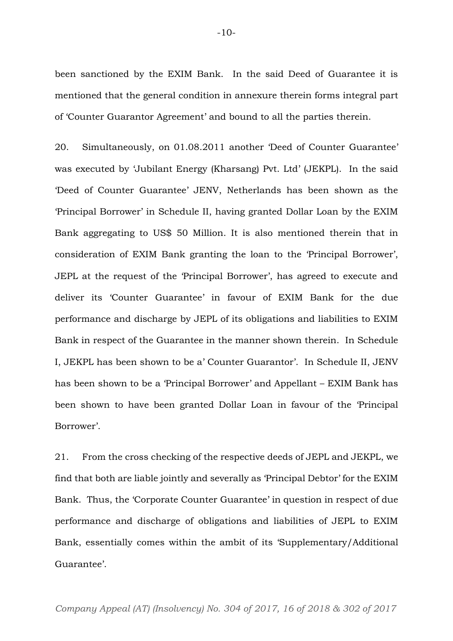been sanctioned by the EXIM Bank. In the said Deed of Guarantee it is mentioned that the general condition in annexure therein forms integral part of 'Counter Guarantor Agreement' and bound to all the parties therein.

20. Simultaneously, on 01.08.2011 another 'Deed of Counter Guarantee' was executed by 'Jubilant Energy (Kharsang) Pvt. Ltd' (JEKPL). In the said 'Deed of Counter Guarantee' JENV, Netherlands has been shown as the 'Principal Borrower' in Schedule II, having granted Dollar Loan by the EXIM Bank aggregating to US\$ 50 Million. It is also mentioned therein that in consideration of EXIM Bank granting the loan to the 'Principal Borrower', JEPL at the request of the 'Principal Borrower', has agreed to execute and deliver its 'Counter Guarantee' in favour of EXIM Bank for the due performance and discharge by JEPL of its obligations and liabilities to EXIM Bank in respect of the Guarantee in the manner shown therein. In Schedule I, JEKPL has been shown to be a' Counter Guarantor'. In Schedule II, JENV has been shown to be a 'Principal Borrower' and Appellant – EXIM Bank has been shown to have been granted Dollar Loan in favour of the 'Principal Borrower'.

21. From the cross checking of the respective deeds of JEPL and JEKPL, we find that both are liable jointly and severally as 'Principal Debtor' for the EXIM Bank. Thus, the 'Corporate Counter Guarantee' in question in respect of due performance and discharge of obligations and liabilities of JEPL to EXIM Bank, essentially comes within the ambit of its 'Supplementary/Additional Guarantee'.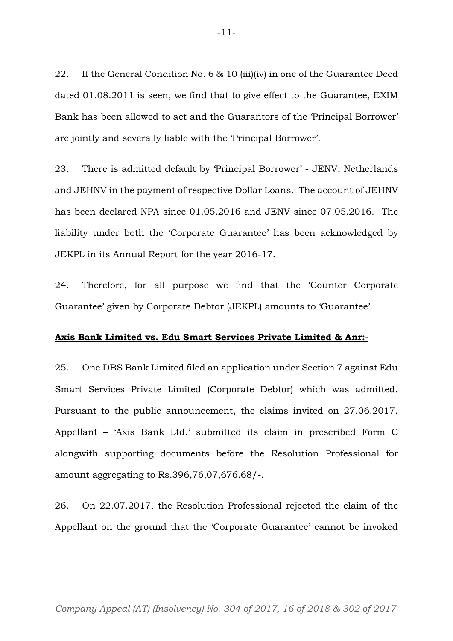22. If the General Condition No. 6 & 10 (iii)(iv) in one of the Guarantee Deed dated 01.08.2011 is seen, we find that to give effect to the Guarantee, EXIM Bank has been allowed to act and the Guarantors of the 'Principal Borrower' are jointly and severally liable with the 'Principal Borrower'.

23. There is admitted default by 'Principal Borrower' - JENV, Netherlands and JEHNV in the payment of respective Dollar Loans. The account of JEHNV has been declared NPA since 01.05.2016 and JENV since 07.05.2016. The liability under both the 'Corporate Guarantee' has been acknowledged by JEKPL in its Annual Report for the year 2016-17.

24. Therefore, for all purpose we find that the 'Counter Corporate Guarantee' given by Corporate Debtor (JEKPL) amounts to 'Guarantee'.

#### **Axis Bank Limited vs. Edu Smart Services Private Limited & Anr:-**

25. One DBS Bank Limited filed an application under Section 7 against Edu Smart Services Private Limited (Corporate Debtor) which was admitted. Pursuant to the public announcement, the claims invited on 27.06.2017. Appellant – 'Axis Bank Ltd.' submitted its claim in prescribed Form C alongwith supporting documents before the Resolution Professional for amount aggregating to Rs.396,76,07,676.68/-.

26. On 22.07.2017, the Resolution Professional rejected the claim of the Appellant on the ground that the 'Corporate Guarantee' cannot be invoked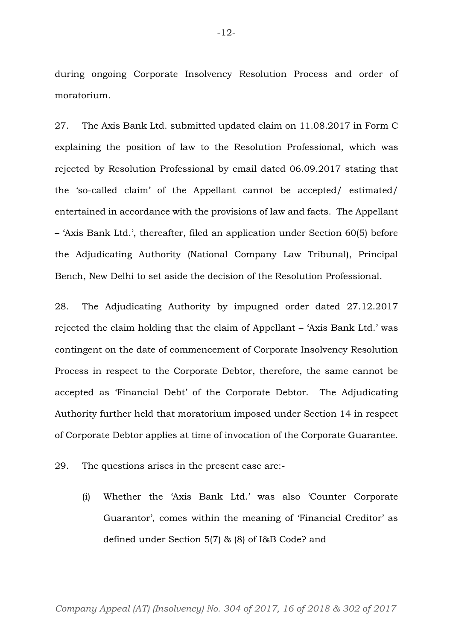during ongoing Corporate Insolvency Resolution Process and order of moratorium.

27. The Axis Bank Ltd. submitted updated claim on 11.08.2017 in Form C explaining the position of law to the Resolution Professional, which was rejected by Resolution Professional by email dated 06.09.2017 stating that the 'so-called claim' of the Appellant cannot be accepted/ estimated/ entertained in accordance with the provisions of law and facts. The Appellant – 'Axis Bank Ltd.', thereafter, filed an application under Section 60(5) before the Adjudicating Authority (National Company Law Tribunal), Principal Bench, New Delhi to set aside the decision of the Resolution Professional.

28. The Adjudicating Authority by impugned order dated 27.12.2017 rejected the claim holding that the claim of Appellant – 'Axis Bank Ltd.' was contingent on the date of commencement of Corporate Insolvency Resolution Process in respect to the Corporate Debtor, therefore, the same cannot be accepted as 'Financial Debt' of the Corporate Debtor. The Adjudicating Authority further held that moratorium imposed under Section 14 in respect of Corporate Debtor applies at time of invocation of the Corporate Guarantee.

29. The questions arises in the present case are:-

(i) Whether the 'Axis Bank Ltd.' was also 'Counter Corporate Guarantor', comes within the meaning of 'Financial Creditor' as defined under Section 5(7) & (8) of I&B Code? and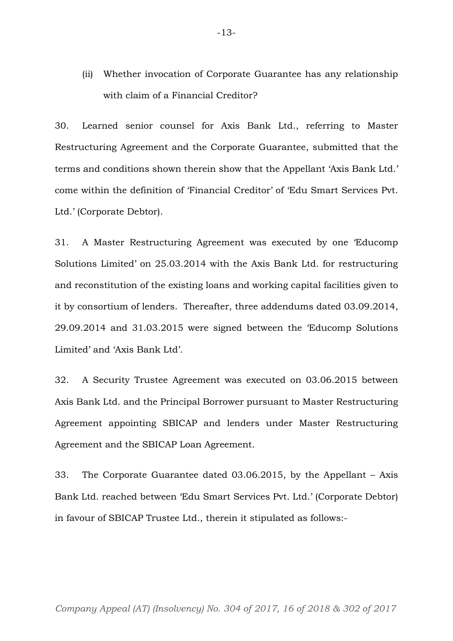(ii) Whether invocation of Corporate Guarantee has any relationship with claim of a Financial Creditor?

30. Learned senior counsel for Axis Bank Ltd., referring to Master Restructuring Agreement and the Corporate Guarantee, submitted that the terms and conditions shown therein show that the Appellant 'Axis Bank Ltd.' come within the definition of 'Financial Creditor' of 'Edu Smart Services Pvt. Ltd.' (Corporate Debtor).

31. A Master Restructuring Agreement was executed by one 'Educomp Solutions Limited' on 25.03.2014 with the Axis Bank Ltd. for restructuring and reconstitution of the existing loans and working capital facilities given to it by consortium of lenders. Thereafter, three addendums dated 03.09.2014, 29.09.2014 and 31.03.2015 were signed between the 'Educomp Solutions Limited' and 'Axis Bank Ltd'.

32. A Security Trustee Agreement was executed on 03.06.2015 between Axis Bank Ltd. and the Principal Borrower pursuant to Master Restructuring Agreement appointing SBICAP and lenders under Master Restructuring Agreement and the SBICAP Loan Agreement.

33. The Corporate Guarantee dated 03.06.2015, by the Appellant – Axis Bank Ltd. reached between 'Edu Smart Services Pvt. Ltd.' (Corporate Debtor) in favour of SBICAP Trustee Ltd., therein it stipulated as follows:-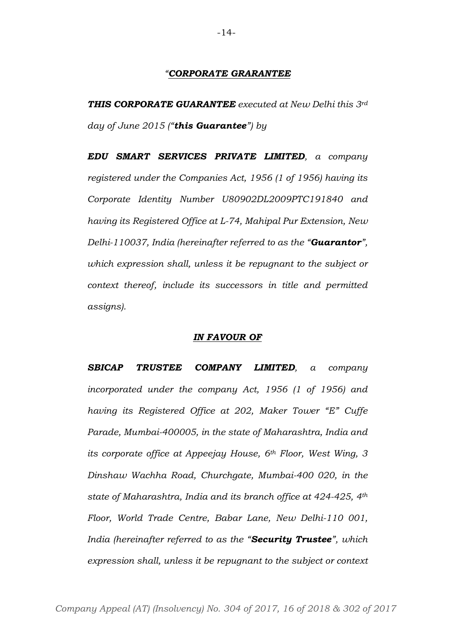#### *"CORPORATE GRARANTEE*

*THIS CORPORATE GUARANTEE executed at New Delhi this 3rd day of June 2015 ("this Guarantee") by*

*EDU SMART SERVICES PRIVATE LIMITED, a company registered under the Companies Act, 1956 (1 of 1956) having its Corporate Identity Number U80902DL2009PTC191840 and having its Registered Office at L-74, Mahipal Pur Extension, New Delhi-110037, India (hereinafter referred to as the "Guarantor", which expression shall, unless it be repugnant to the subject or context thereof, include its successors in title and permitted assigns).*

#### *IN FAVOUR OF*

*SBICAP TRUSTEE COMPANY LIMITED, a company incorporated under the company Act, 1956 (1 of 1956) and having its Registered Office at 202, Maker Tower "E" Cuffe Parade, Mumbai-400005, in the state of Maharashtra, India and its corporate office at Appeejay House, 6th Floor, West Wing, 3 Dinshaw Wachha Road, Churchgate, Mumbai-400 020, in the state of Maharashtra, India and its branch office at 424-425, 4th Floor, World Trade Centre, Babar Lane, New Delhi-110 001, India (hereinafter referred to as the "Security Trustee", which expression shall, unless it be repugnant to the subject or context*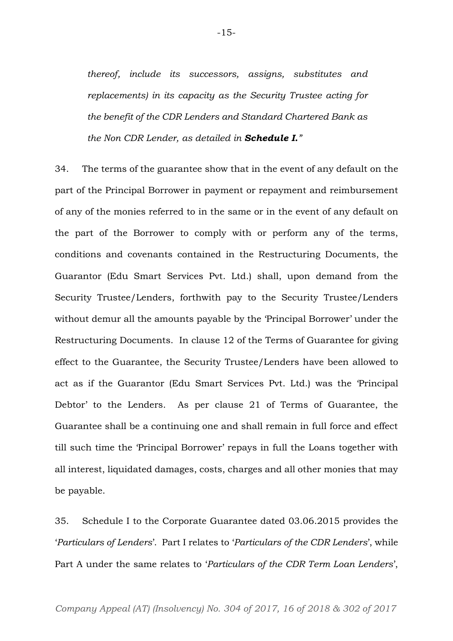*thereof, include its successors, assigns, substitutes and replacements) in its capacity as the Security Trustee acting for the benefit of the CDR Lenders and Standard Chartered Bank as the Non CDR Lender, as detailed in Schedule I."*

34. The terms of the guarantee show that in the event of any default on the part of the Principal Borrower in payment or repayment and reimbursement of any of the monies referred to in the same or in the event of any default on the part of the Borrower to comply with or perform any of the terms, conditions and covenants contained in the Restructuring Documents, the Guarantor (Edu Smart Services Pvt. Ltd.) shall, upon demand from the Security Trustee/Lenders, forthwith pay to the Security Trustee/Lenders without demur all the amounts payable by the 'Principal Borrower' under the Restructuring Documents. In clause 12 of the Terms of Guarantee for giving effect to the Guarantee, the Security Trustee/Lenders have been allowed to act as if the Guarantor (Edu Smart Services Pvt. Ltd.) was the 'Principal Debtor' to the Lenders. As per clause 21 of Terms of Guarantee, the Guarantee shall be a continuing one and shall remain in full force and effect till such time the 'Principal Borrower' repays in full the Loans together with all interest, liquidated damages, costs, charges and all other monies that may be payable.

35. Schedule I to the Corporate Guarantee dated 03.06.2015 provides the '*Particulars of Lenders*'. Part I relates to '*Particulars of the CDR Lenders*', while Part A under the same relates to '*Particulars of the CDR Term Loan Lenders*',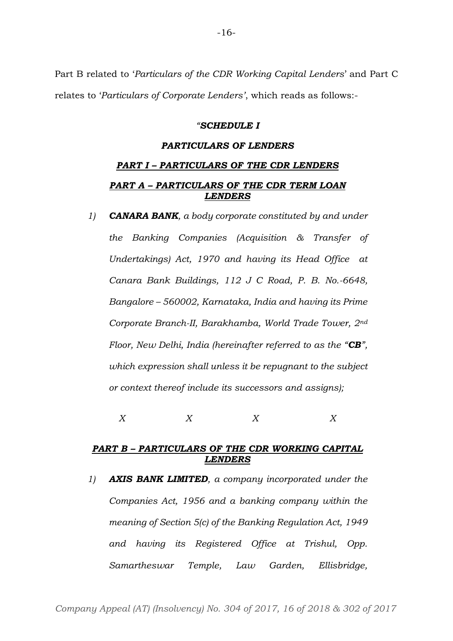Part B related to '*Particulars of the CDR Working Capital Lenders*' and Part C relates to '*Particulars of Corporate Lenders'*, which reads as follows:-

#### *"SCHEDULE I*

#### *PARTICULARS OF LENDERS*

# *PART I – PARTICULARS OF THE CDR LENDERS PART A – PARTICULARS OF THE CDR TERM LOAN LENDERS*

*1) CANARA BANK, a body corporate constituted by and under the Banking Companies (Acquisition & Transfer of Undertakings) Act, 1970 and having its Head Office at Canara Bank Buildings, 112 J C Road, P. B. No.-6648, Bangalore – 560002, Karnataka, India and having its Prime Corporate Branch-II, Barakhamba, World Trade Tower, 2nd Floor, New Delhi, India (hereinafter referred to as the "CB", which expression shall unless it be repugnant to the subject or context thereof include its successors and assigns);*

*X X X X*

## *PART B – PARTICULARS OF THE CDR WORKING CAPITAL LENDERS*

*1) AXIS BANK LIMITED, a company incorporated under the Companies Act, 1956 and a banking company within the meaning of Section 5(c) of the Banking Regulation Act, 1949 and having its Registered Office at Trishul, Opp. Samartheswar Temple, Law Garden, Ellisbridge,*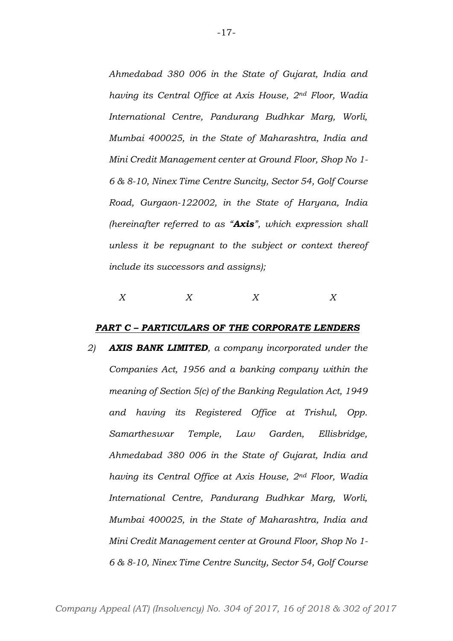*Ahmedabad 380 006 in the State of Gujarat, India and having its Central Office at Axis House, 2nd Floor, Wadia International Centre, Pandurang Budhkar Marg, Worli, Mumbai 400025, in the State of Maharashtra, India and Mini Credit Management center at Ground Floor, Shop No 1- 6 & 8-10, Ninex Time Centre Suncity, Sector 54, Golf Course Road, Gurgaon-122002, in the State of Haryana, India (hereinafter referred to as "Axis", which expression shall unless it be repugnant to the subject or context thereof include its successors and assigns);*

# *X X X X*

#### *PART C – PARTICULARS OF THE CORPORATE LENDERS*

*2) AXIS BANK LIMITED, a company incorporated under the Companies Act, 1956 and a banking company within the meaning of Section 5(c) of the Banking Regulation Act, 1949 and having its Registered Office at Trishul, Opp. Samartheswar Temple, Law Garden, Ellisbridge, Ahmedabad 380 006 in the State of Gujarat, India and having its Central Office at Axis House, 2nd Floor, Wadia International Centre, Pandurang Budhkar Marg, Worli, Mumbai 400025, in the State of Maharashtra, India and Mini Credit Management center at Ground Floor, Shop No 1- 6 & 8-10, Ninex Time Centre Suncity, Sector 54, Golf Course*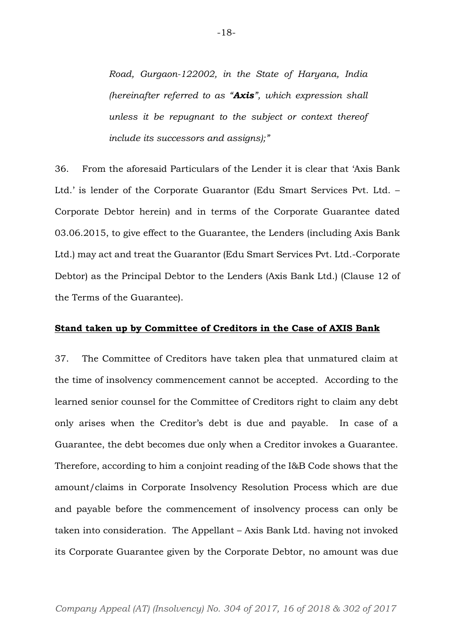*Road, Gurgaon-122002, in the State of Haryana, India (hereinafter referred to as "Axis", which expression shall unless it be repugnant to the subject or context thereof include its successors and assigns);"*

36. From the aforesaid Particulars of the Lender it is clear that 'Axis Bank Ltd.' is lender of the Corporate Guarantor (Edu Smart Services Pvt. Ltd. – Corporate Debtor herein) and in terms of the Corporate Guarantee dated 03.06.2015, to give effect to the Guarantee, the Lenders (including Axis Bank Ltd.) may act and treat the Guarantor (Edu Smart Services Pvt. Ltd.-Corporate Debtor) as the Principal Debtor to the Lenders (Axis Bank Ltd.) (Clause 12 of the Terms of the Guarantee).

## **Stand taken up by Committee of Creditors in the Case of AXIS Bank**

37. The Committee of Creditors have taken plea that unmatured claim at the time of insolvency commencement cannot be accepted. According to the learned senior counsel for the Committee of Creditors right to claim any debt only arises when the Creditor's debt is due and payable. In case of a Guarantee, the debt becomes due only when a Creditor invokes a Guarantee. Therefore, according to him a conjoint reading of the I&B Code shows that the amount/claims in Corporate Insolvency Resolution Process which are due and payable before the commencement of insolvency process can only be taken into consideration. The Appellant – Axis Bank Ltd. having not invoked its Corporate Guarantee given by the Corporate Debtor, no amount was due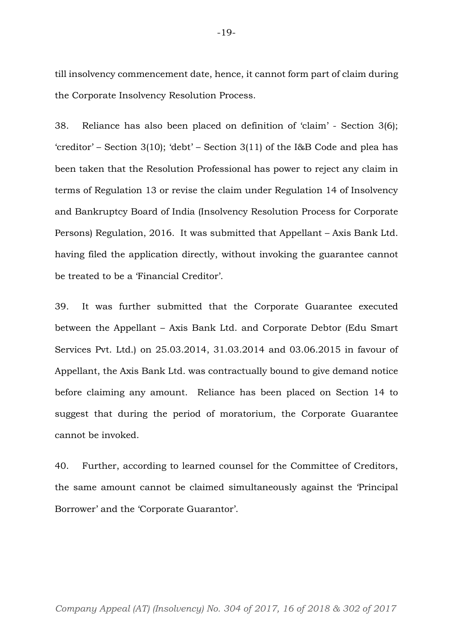till insolvency commencement date, hence, it cannot form part of claim during the Corporate Insolvency Resolution Process.

38. Reliance has also been placed on definition of 'claim' - Section 3(6); 'creditor' – Section 3(10); 'debt' – Section 3(11) of the I&B Code and plea has been taken that the Resolution Professional has power to reject any claim in terms of Regulation 13 or revise the claim under Regulation 14 of Insolvency and Bankruptcy Board of India (Insolvency Resolution Process for Corporate Persons) Regulation, 2016. It was submitted that Appellant – Axis Bank Ltd. having filed the application directly, without invoking the guarantee cannot be treated to be a 'Financial Creditor'.

39. It was further submitted that the Corporate Guarantee executed between the Appellant – Axis Bank Ltd. and Corporate Debtor (Edu Smart Services Pvt. Ltd.) on 25.03.2014, 31.03.2014 and 03.06.2015 in favour of Appellant, the Axis Bank Ltd. was contractually bound to give demand notice before claiming any amount. Reliance has been placed on Section 14 to suggest that during the period of moratorium, the Corporate Guarantee cannot be invoked.

40. Further, according to learned counsel for the Committee of Creditors, the same amount cannot be claimed simultaneously against the 'Principal Borrower' and the 'Corporate Guarantor'.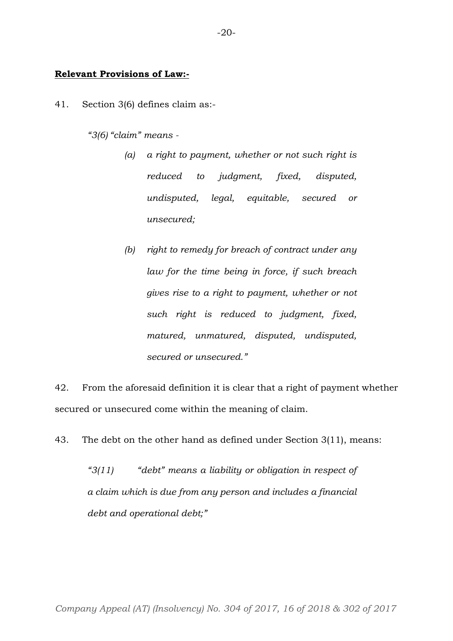## **Relevant Provisions of Law:-**

41. Section 3(6) defines claim as:-

*"3(6) "claim" means -*

- *(a) a right to payment, whether or not such right is reduced to judgment, fixed, disputed, undisputed, legal, equitable, secured or unsecured;*
- *(b) right to remedy for breach of contract under any law for the time being in force, if such breach gives rise to a right to payment, whether or not such right is reduced to judgment, fixed, matured, unmatured, disputed, undisputed, secured or unsecured."*

42. From the aforesaid definition it is clear that a right of payment whether secured or unsecured come within the meaning of claim.

43. The debt on the other hand as defined under Section 3(11), means:

*"3(11) "debt" means a liability or obligation in respect of a claim which is due from any person and includes a financial debt and operational debt;"*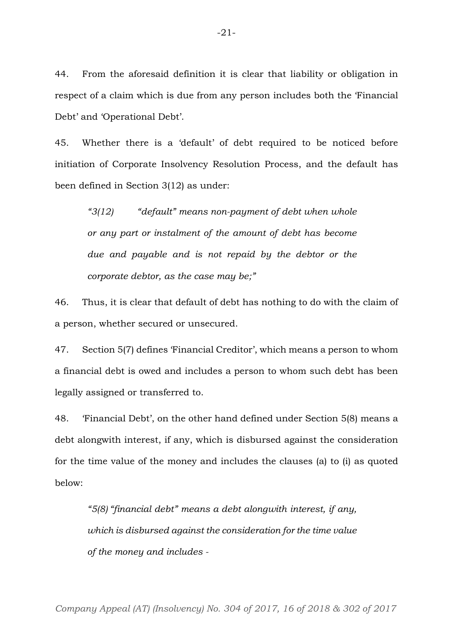44. From the aforesaid definition it is clear that liability or obligation in respect of a claim which is due from any person includes both the 'Financial Debt' and 'Operational Debt'.

45. Whether there is a 'default' of debt required to be noticed before initiation of Corporate Insolvency Resolution Process, and the default has been defined in Section 3(12) as under:

*"3(12) "default" means non-payment of debt when whole or any part or instalment of the amount of debt has become due and payable and is not repaid by the debtor or the corporate debtor, as the case may be;"*

46. Thus, it is clear that default of debt has nothing to do with the claim of a person, whether secured or unsecured.

47. Section 5(7) defines 'Financial Creditor', which means a person to whom a financial debt is owed and includes a person to whom such debt has been legally assigned or transferred to.

48. 'Financial Debt', on the other hand defined under Section 5(8) means a debt alongwith interest, if any, which is disbursed against the consideration for the time value of the money and includes the clauses (a) to (i) as quoted below:

*"5(8) "financial debt" means a debt alongwith interest, if any, which is disbursed against the consideration for the time value of the money and includes -*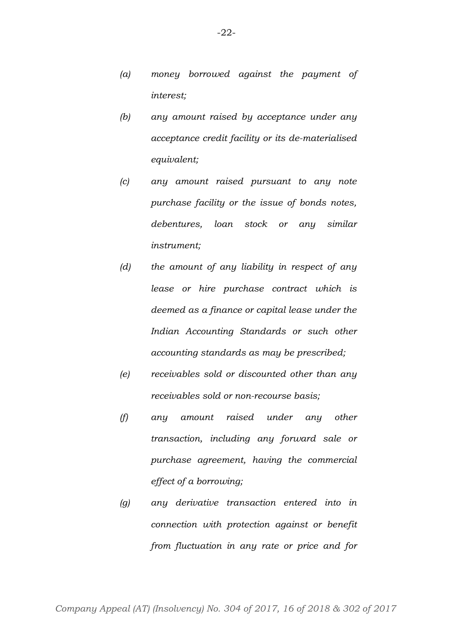- *(b) any amount raised by acceptance under any acceptance credit facility or its de-materialised equivalent;*
- *(c) any amount raised pursuant to any note purchase facility or the issue of bonds notes, debentures, loan stock or any similar instrument;*
- *(d) the amount of any liability in respect of any lease or hire purchase contract which is deemed as a finance or capital lease under the Indian Accounting Standards or such other accounting standards as may be prescribed;*
- *(e) receivables sold or discounted other than any receivables sold or non-recourse basis;*
- *(f) any amount raised under any other transaction, including any forward sale or purchase agreement, having the commercial effect of a borrowing;*
- *(g) any derivative transaction entered into in connection with protection against or benefit from fluctuation in any rate or price and for*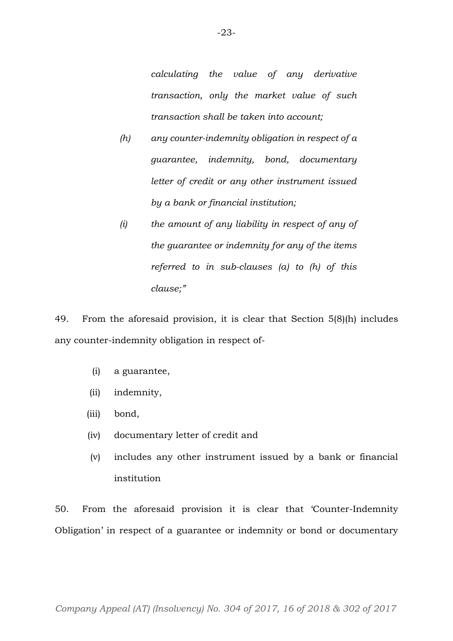*calculating the value of any derivative transaction, only the market value of such transaction shall be taken into account;*

- *(h) any counter-indemnity obligation in respect of a guarantee, indemnity, bond, documentary letter of credit or any other instrument issued by a bank or financial institution;*
- *(i) the amount of any liability in respect of any of the guarantee or indemnity for any of the items referred to in sub-clauses (a) to (h) of this clause;"*

49. From the aforesaid provision, it is clear that Section 5(8)(h) includes any counter-indemnity obligation in respect of-

- (i) a guarantee,
- (ii) indemnity,
- (iii) bond,
- (iv) documentary letter of credit and
- (v) includes any other instrument issued by a bank or financial institution

50. From the aforesaid provision it is clear that 'Counter-Indemnity Obligation' in respect of a guarantee or indemnity or bond or documentary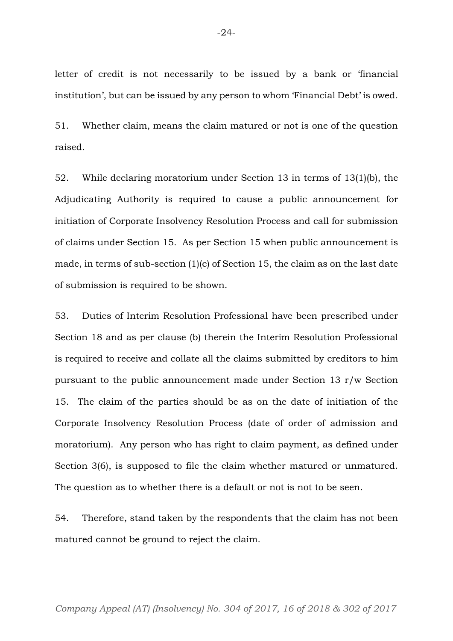letter of credit is not necessarily to be issued by a bank or 'financial institution', but can be issued by any person to whom 'Financial Debt' is owed.

51. Whether claim, means the claim matured or not is one of the question raised.

52. While declaring moratorium under Section 13 in terms of 13(1)(b), the Adjudicating Authority is required to cause a public announcement for initiation of Corporate Insolvency Resolution Process and call for submission of claims under Section 15. As per Section 15 when public announcement is made, in terms of sub-section (1)(c) of Section 15, the claim as on the last date of submission is required to be shown.

53. Duties of Interim Resolution Professional have been prescribed under Section 18 and as per clause (b) therein the Interim Resolution Professional is required to receive and collate all the claims submitted by creditors to him pursuant to the public announcement made under Section 13 r/w Section 15. The claim of the parties should be as on the date of initiation of the Corporate Insolvency Resolution Process (date of order of admission and moratorium). Any person who has right to claim payment, as defined under Section 3(6), is supposed to file the claim whether matured or unmatured. The question as to whether there is a default or not is not to be seen.

54. Therefore, stand taken by the respondents that the claim has not been matured cannot be ground to reject the claim.

*Company Appeal (AT) (Insolvency) No. 304 of 2017, 16 of 2018 & 302 of 2017*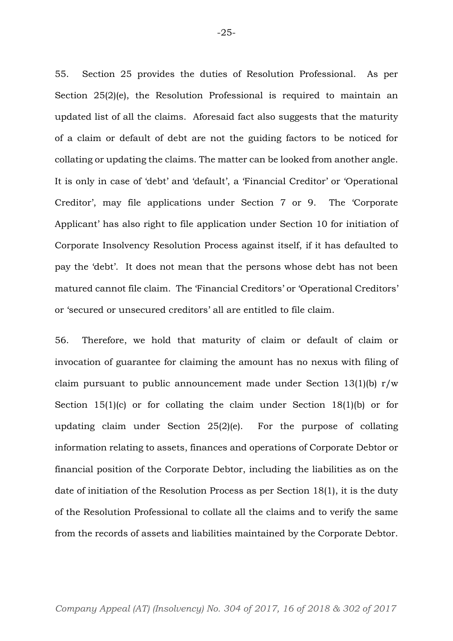55. Section 25 provides the duties of Resolution Professional. As per Section 25(2)(e), the Resolution Professional is required to maintain an updated list of all the claims. Aforesaid fact also suggests that the maturity of a claim or default of debt are not the guiding factors to be noticed for collating or updating the claims. The matter can be looked from another angle. It is only in case of 'debt' and 'default', a 'Financial Creditor' or 'Operational Creditor', may file applications under Section 7 or 9. The 'Corporate Applicant' has also right to file application under Section 10 for initiation of Corporate Insolvency Resolution Process against itself, if it has defaulted to pay the 'debt'. It does not mean that the persons whose debt has not been matured cannot file claim. The 'Financial Creditors' or 'Operational Creditors' or 'secured or unsecured creditors' all are entitled to file claim.

56. Therefore, we hold that maturity of claim or default of claim or invocation of guarantee for claiming the amount has no nexus with filing of claim pursuant to public announcement made under Section 13(1)(b)  $r/w$ Section 15(1)(c) or for collating the claim under Section 18(1)(b) or for updating claim under Section 25(2)(e). For the purpose of collating information relating to assets, finances and operations of Corporate Debtor or financial position of the Corporate Debtor, including the liabilities as on the date of initiation of the Resolution Process as per Section 18(1), it is the duty of the Resolution Professional to collate all the claims and to verify the same from the records of assets and liabilities maintained by the Corporate Debtor.

-25-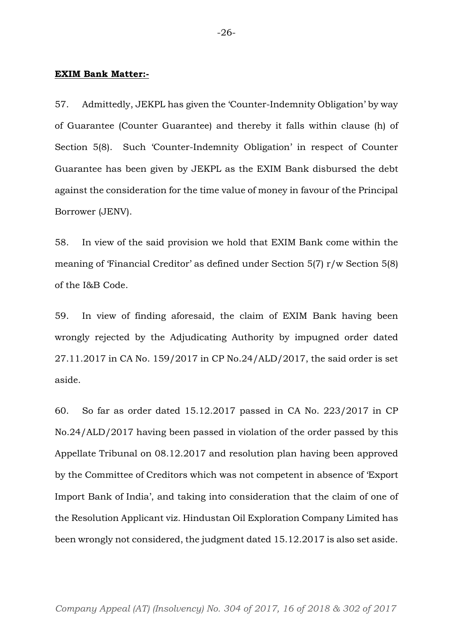#### **EXIM Bank Matter:-**

57. Admittedly, JEKPL has given the 'Counter-Indemnity Obligation' by way of Guarantee (Counter Guarantee) and thereby it falls within clause (h) of Section 5(8). Such 'Counter-Indemnity Obligation' in respect of Counter Guarantee has been given by JEKPL as the EXIM Bank disbursed the debt against the consideration for the time value of money in favour of the Principal Borrower (JENV).

58. In view of the said provision we hold that EXIM Bank come within the meaning of 'Financial Creditor' as defined under Section 5(7) r/w Section 5(8) of the I&B Code.

59. In view of finding aforesaid, the claim of EXIM Bank having been wrongly rejected by the Adjudicating Authority by impugned order dated 27.11.2017 in CA No. 159/2017 in CP No.24/ALD/2017, the said order is set aside.

60. So far as order dated 15.12.2017 passed in CA No. 223/2017 in CP No.24/ALD/2017 having been passed in violation of the order passed by this Appellate Tribunal on 08.12.2017 and resolution plan having been approved by the Committee of Creditors which was not competent in absence of 'Export Import Bank of India', and taking into consideration that the claim of one of the Resolution Applicant viz. Hindustan Oil Exploration Company Limited has been wrongly not considered, the judgment dated 15.12.2017 is also set aside.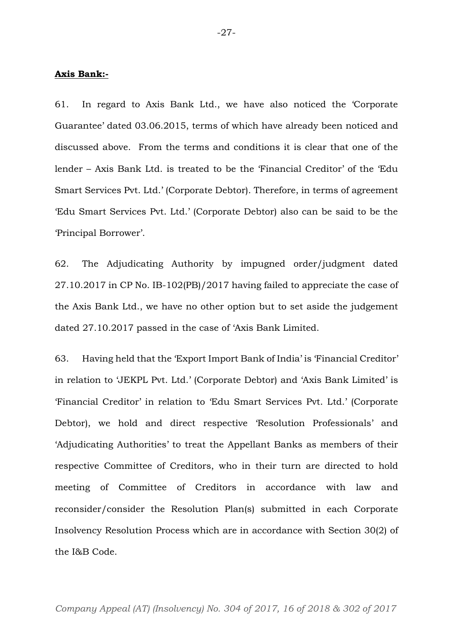#### **Axis Bank:-**

61. In regard to Axis Bank Ltd., we have also noticed the 'Corporate Guarantee' dated 03.06.2015, terms of which have already been noticed and discussed above. From the terms and conditions it is clear that one of the lender – Axis Bank Ltd. is treated to be the 'Financial Creditor' of the 'Edu Smart Services Pvt. Ltd.' (Corporate Debtor). Therefore, in terms of agreement 'Edu Smart Services Pvt. Ltd.' (Corporate Debtor) also can be said to be the 'Principal Borrower'.

62. The Adjudicating Authority by impugned order/judgment dated 27.10.2017 in CP No. IB-102(PB)/2017 having failed to appreciate the case of the Axis Bank Ltd., we have no other option but to set aside the judgement dated 27.10.2017 passed in the case of 'Axis Bank Limited.

63. Having held that the 'Export Import Bank of India' is 'Financial Creditor' in relation to 'JEKPL Pvt. Ltd.' (Corporate Debtor) and 'Axis Bank Limited' is 'Financial Creditor' in relation to 'Edu Smart Services Pvt. Ltd.' (Corporate Debtor), we hold and direct respective 'Resolution Professionals' and 'Adjudicating Authorities' to treat the Appellant Banks as members of their respective Committee of Creditors, who in their turn are directed to hold meeting of Committee of Creditors in accordance with law and reconsider/consider the Resolution Plan(s) submitted in each Corporate Insolvency Resolution Process which are in accordance with Section 30(2) of the I&B Code.